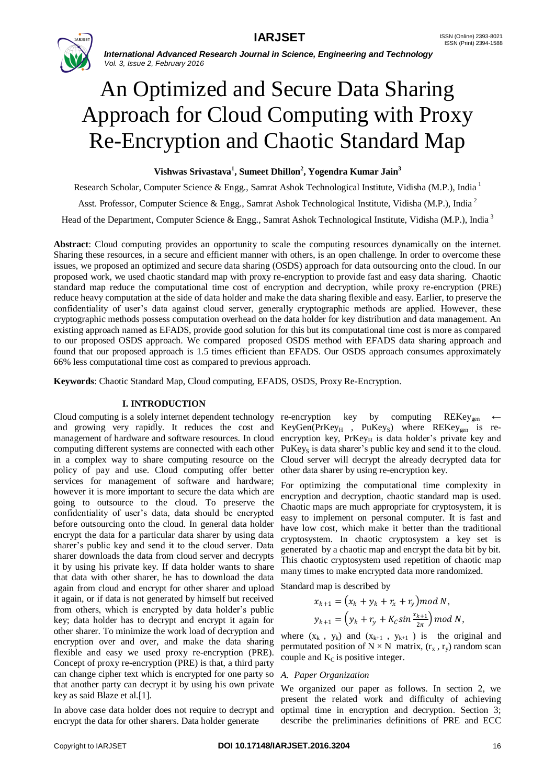

# An Optimized and Secure Data Sharing Approach for Cloud Computing with Proxy Re-Encryption and Chaotic Standard Map

# **Vishwas Srivastava<sup>1</sup> , Sumeet Dhillon<sup>2</sup> , Yogendra Kumar Jain<sup>3</sup>**

Research Scholar, Computer Science & Engg., Samrat Ashok Technological Institute, Vidisha (M.P.), India <sup>1</sup>

Asst. Professor, Computer Science & Engg., Samrat Ashok Technological Institute, Vidisha (M.P.), India <sup>2</sup>

Head of the Department, Computer Science & Engg., Samrat Ashok Technological Institute, Vidisha (M.P.), India<sup>3</sup>

**Abstract**: Cloud computing provides an opportunity to scale the computing resources dynamically on the internet. Sharing these resources, in a secure and efficient manner with others, is an open challenge. In order to overcome these issues, we proposed an optimized and secure data sharing (OSDS) approach for data outsourcing onto the cloud. In our proposed work, we used chaotic standard map with proxy re-encryption to provide fast and easy data sharing. Chaotic standard map reduce the computational time cost of encryption and decryption, while proxy re-encryption (PRE) reduce heavy computation at the side of data holder and make the data sharing flexible and easy. Earlier, to preserve the confidentiality of user's data against cloud server, generally cryptographic methods are applied. However, these cryptographic methods possess computation overhead on the data holder for key distribution and data management. An existing approach named as EFADS, provide good solution for this but its computational time cost is more as compared to our proposed OSDS approach. We compared proposed OSDS method with EFADS data sharing approach and found that our proposed approach is 1.5 times efficient than EFADS. Our OSDS approach consumes approximately 66% less computational time cost as compared to previous approach.

**Keywords**: Chaotic Standard Map, Cloud computing, EFADS, OSDS, Proxy Re-Encryption.

## **I. INTRODUCTION**

and growing very rapidly. It reduces the cost and management of hardware and software resources. In cloud computing different systems are connected with each other in a complex way to share computing resource on the policy of pay and use. Cloud computing offer better services for management of software and hardware; however it is more important to secure the data which are going to outsource to the cloud. To preserve the confidentiality of user's data, data should be encrypted before outsourcing onto the cloud. In general data holder encrypt the data for a particular data sharer by using data sharer's public key and send it to the cloud server. Data sharer downloads the data from cloud server and decrypts it by using his private key. If data holder wants to share that data with other sharer, he has to download the data again from cloud and encrypt for other sharer and upload it again, or if data is not generated by himself but received from others, which is encrypted by data holder's public key; data holder has to decrypt and encrypt it again for other sharer. To minimize the work load of decryption and encryption over and over, and make the data sharing flexible and easy we used proxy re-encryption (PRE). Concept of proxy re-encryption (PRE) is that, a third party can change cipher text which is encrypted for one party so that another party can decrypt it by using his own private key as said Blaze et al.[1].

In above case data holder does not require to decrypt and encrypt the data for other sharers. Data holder generate

Cloud computing is a solely internet dependent technology re-encryption key by computing REKey<sub>gen</sub> ←  $KeyGen(PrKey<sub>H</sub>$ ,  $PuKey<sub>S</sub>)$  where  $REKey<sub>gen</sub>$  is reencryption key,  $PrKey_H$  is data holder's private key and PuKey<sub>S</sub> is data sharer's public key and send it to the cloud. Cloud server will decrypt the already decrypted data for other data sharer by using re-encryption key.

> For optimizing the computational time complexity in encryption and decryption, chaotic standard map is used. Chaotic maps are much appropriate for cryptosystem, it is easy to implement on personal computer. It is fast and have low cost, which make it better than the traditional cryptosystem. In chaotic cryptosystem a key set is generated by a chaotic map and encrypt the data bit by bit. This chaotic cryptosystem used repetition of chaotic map many times to make encrypted data more randomized.

Standard map is described by

$$
x_{k+1} = (x_k + y_k + r_x + r_y) \text{ mod } N,
$$
  

$$
y_{k+1} = (y_k + r_y + K_c \sin \frac{x_{k+1}}{2\pi}) \text{ mod } N,
$$

where  $(x_k, y_k)$  and  $(x_{k+1}, y_{k+1})$  is the original and permutated position of  $N \times N$  matrix,  $(r_x, r_y)$  random scan couple and  $K<sub>C</sub>$  is positive integer.

#### *A. Paper Organization*

We organized our paper as follows. In section 2, we present the related work and difficulty of achieving optimal time in encryption and decryption. Section 3; describe the preliminaries definitions of PRE and ECC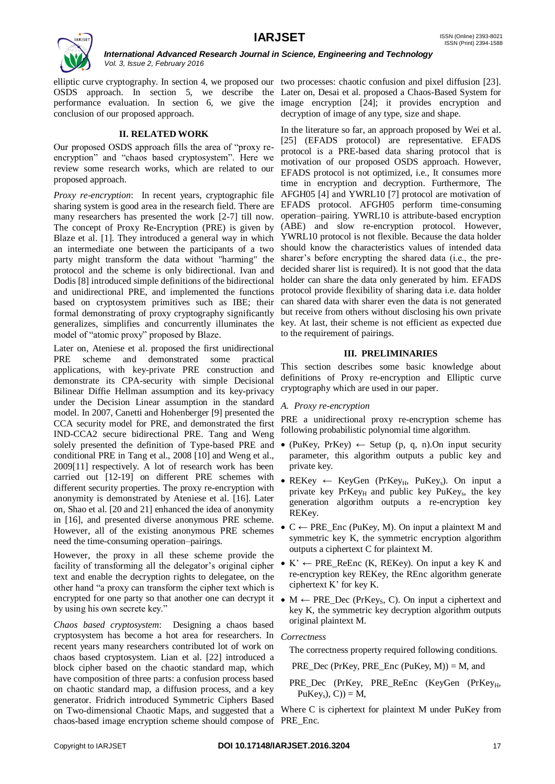

OSDS approach. In section 5, we describe the Later on, Desai et al. proposed a Chaos-Based System for performance evaluation. In section 6, we give the image encryption [24]; it provides encryption and conclusion of our proposed approach.

## **II. RELATED WORK**

Our proposed OSDS approach fills the area of "proxy reencryption" and "chaos based cryptosystem". Here we review some research works, which are related to our proposed approach.

*Proxy re-encryption*:In recent years, cryptographic file sharing system is good area in the research field. There are EFADS protocol. AFGH05 perform time-consuming many researchers has presented the work [2-7] till now. The concept of Proxy Re-Encryption (PRE) is given by Blaze et al. [1]. They introduced a general way in which an intermediate one between the participants of a two party might transform the data without "harming" the protocol and the scheme is only bidirectional. Ivan and Dodis [8] introduced simple definitions of the bidirectional and unidirectional PRE, and implemented the functions based on cryptosystem primitives such as IBE; their formal demonstrating of proxy cryptography significantly generalizes, simplifies and concurrently illuminates the model of "atomic proxy" proposed by Blaze.

Later on, Ateniese et al. proposed the first unidirectional PRE scheme and demonstrated some practical applications, with key-private PRE construction and demonstrate its CPA-security with simple Decisional Bilinear Diffie Hellman assumption and its key-privacy under the Decision Linear assumption in the standard model. In 2007, Canetti and Hohenberger [9] presented the CCA security model for PRE, and demonstrated the first IND-CCA2 secure bidirectional PRE. Tang and Weng solely presented the definition of Type-based PRE and conditional PRE in Tang et al., 2008 [10] and Weng et al., 2009[11] respectively. A lot of research work has been carried out [12-19] on different PRE schemes with different security properties. The proxy re-encryption with anonymity is demonstrated by Ateniese et al. [16]. Later on, Shao et al. [20 and 21] enhanced the idea of anonymity in [16], and presented diverse anonymous PRE scheme. However, all of the existing anonymous PRE schemes need the time-consuming operation–pairings.

However, the proxy in all these scheme provide the facility of transforming all the delegator's original cipher text and enable the decryption rights to delegatee, on the other hand "a proxy can transform the cipher text which is encrypted for one party so that another one can decrypt it  $\bullet M \leftarrow PRE\_Dec$  (PrKeys, C). On input a ciphertext and by using his own secrete key."

*Chaos based cryptosystem*:Designing a chaos based cryptosystem has become a hot area for researchers. In recent years many researchers contributed lot of work on chaos based cryptosystem. Lian et al. [22] introduced a block cipher based on the chaotic standard map, which have composition of three parts: a confusion process based on chaotic standard map, a diffusion process, and a key generator. Fridrich introduced Symmetric Ciphers Based on Two-dimensional Chaotic Maps, and suggested that a Where C is ciphertext for plaintext M under PuKey from chaos-based image encryption scheme should compose of PRE\_Enc.

elliptic curve cryptography. In section 4, we proposed our two processes: chaotic confusion and pixel diffusion [23]. decryption of image of any type, size and shape.

> In the literature so far, an approach proposed by Wei et al. [25] (EFADS protocol) are representative. EFADS protocol is a PRE-based data sharing protocol that is motivation of our proposed OSDS approach. However, EFADS protocol is not optimized, i.e., It consumes more time in encryption and decryption. Furthermore, The AFGH05 [4] and YWRL10 [7] protocol are motivation of operation–pairing. YWRL10 is attribute-based encryption (ABE) and slow re-encryption protocol. However, YWRL10 protocol is not flexible. Because the data holder should know the characteristics values of intended data sharer's before encrypting the shared data (i.e., the predecided sharer list is required). It is not good that the data holder can share the data only generated by him. EFADS protocol provide flexibility of sharing data i.e. data holder can shared data with sharer even the data is not generated but receive from others without disclosing his own private key. At last, their scheme is not efficient as expected due to the requirement of pairings.

# **III. PRELIMINARIES**

This section describes some basic knowledge about definitions of Proxy re-encryption and Elliptic curve cryptography which are used in our paper.

# *A. Proxy re-encryption*

PRE a unidirectional proxy re-encryption scheme has following probabilistic polynomial time algorithm.

- (PuKey, PrKey)  $\leftarrow$  Setup (p, q, n). On input security parameter, this algorithm outputs a public key and private key.
- REKey ← KeyGen (PrKey<sub>H</sub>, PuKey<sub>s</sub>). On input a private key PrKey<sub>H</sub> and public key PuKey<sub>s</sub>, the key generation algorithm outputs a re-encryption key REKey.
- $\bullet$  C  $\leftarrow$  PRE Enc (PuKey, M). On input a plaintext M and symmetric key K, the symmetric encryption algorithm outputs a ciphertext C for plaintext M.
- $K' \leftarrow PRE\_ReEnc (K, REKey)$ . On input a key K and re-encryption key REKey, the REnc algorithm generate ciphertext K' for key K.
- key K, the symmetric key decryption algorithm outputs original plaintext M.

# *Correctness*

The correctness property required following conditions.

PRE Dec (PrKey, PRE Enc (PuKey, M)) = M, and

PRE\_Dec (PrKey, PRE\_ReEnc (KeyGen (PrKey<sub>H</sub>,  $PuKey<sub>s</sub>$ , C)) = M,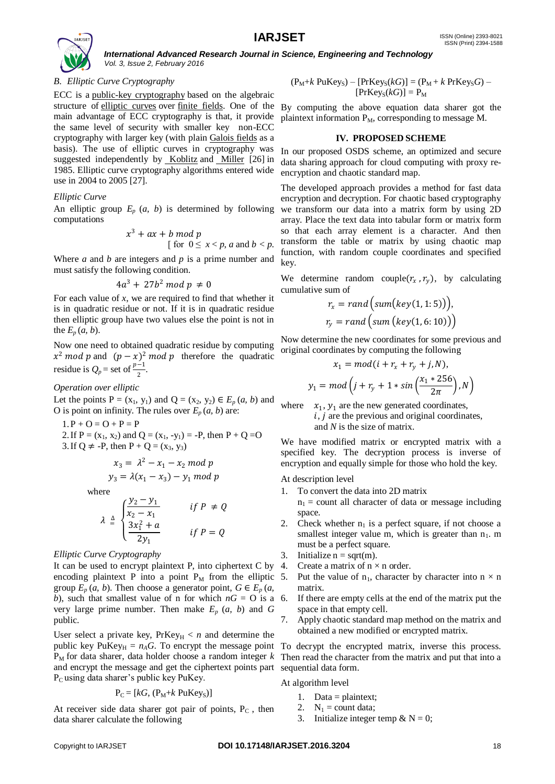

# *B. Elliptic Curve Cryptography*

ECC is a [public-key cryptography](https://en.wikipedia.org/wiki/Public-key_cryptography) based on the algebraic structure of [elliptic curves](https://en.wikipedia.org/wiki/Elliptic_curve) over [finite fields.](https://en.wikipedia.org/wiki/Finite_field) One of the By computing the above equation data sharer got the main advantage of ECC cryptography is that, it provide the same level of security with smaller key non-ECC cryptography with larger key (with plain [Galois fields](https://en.wikipedia.org/wiki/Galois_field) as a basis). The use of elliptic curves in cryptography was suggested independently by [Koblitz](https://en.wikipedia.org/wiki/Neal_Koblitz) and [Miller](https://en.wikipedia.org/wiki/Victor_S._Miller) [26] in 1985. Elliptic curve cryptography algorithms entered wide use in 2004 to 2005 [27].

### *Elliptic Curve*

An elliptic group  $E_p$   $(a, b)$  is determined by following computations

$$
x3 + ax + b \bmod p
$$
  
[for  $0 \le x < p$ , a and  $b < p$ .

Where *a* and *b* are integers and *p* is a prime number and must satisfy the following condition.

$$
4a^3 + 27b^2 \bmod p \neq 0
$$

For each value of *x*, we are required to find that whether it is in quadratic residue or not. If it is in quadratic residue then elliptic group have two values else the point is not in the  $E_p(a, b)$ .

Now one need to obtained quadratic residue by computing  $x^2$  mod p and  $(p-x)^2$  mod p therefore the quadratic residue is  $Q_p$  = set of  $\frac{p-1}{2}$ .

*Operation over elliptic* 

Let the points  $P = (x_1, y_1)$  and  $Q = (x_2, y_2) \in E_p(a, b)$  and O is point on infinity. The rules over  $E_p(a, b)$  are:

 $1. P + O = O + P = P$ 2. If  $P = (x_1, x_2)$  and  $Q = (x_1, -y_1) = -P$ , then  $P + Q = O$ 3. If Q  $\neq$  -P, then P + Q = (x<sub>3</sub>, y<sub>3</sub>)

$$
x_3 = \lambda^2 - x_1 - x_2 \mod p
$$
  

$$
y_3 = \lambda(x_1 - x_3) - y_1 \mod p
$$

where

$$
\lambda \triangleq \begin{cases} \frac{y_2 - y_1}{x_2 - x_1} & \text{if } P \neq Q \\ \frac{3x_1^2 + a}{2y_1} & \text{if } P = Q \end{cases}
$$

#### *Elliptic Curve Cryptography*

It can be used to encrypt plaintext P, into ciphertext C by  $4$ . encoding plaintext P into a point  $P_M$  from the elliptic 5. group  $E_p(a, b)$ . Then choose a generator point,  $G \in E_p(a)$ , *b*), such that smallest value of n for which  $nG = O$  is a 6. very large prime number. Then make  $E_p$   $(a, b)$  and  $G$ public.

User select a private key,  $PrKey_H < n$  and determine the public key PuKey $_H = n_A G$ . To encrypt the message point To decrypt the encrypted matrix, inverse this process.  $P_M$  for data sharer, data holder choose a random integer  $k$  Then read the character from the matrix and put that into a and encrypt the message and get the ciphertext points part sequential data form. P<sub>C</sub> using data sharer's public key PuKey.

$$
P_C = [kG, (P_M + k \text{ PuKey}_S)]
$$

At receiver side data sharer got pair of points,  $P_C$ , then data sharer calculate the following

$$
(P_M + k \text{ PuKey}_S) - [PrKey_S(kG)] = (P_M + k \text{ PrKey}_SG) - [PrKey_S(kG)] = P_M
$$

plaintext information  $P_M$ , corresponding to message M.

#### **IV. PROPOSED SCHEME**

In our proposed OSDS scheme, an optimized and secure data sharing approach for cloud computing with proxy reencryption and chaotic standard map.

The developed approach provides a method for fast data encryption and decryption. For chaotic based cryptography we transform our data into a matrix form by using 2D array. Place the text data into tabular form or matrix form so that each array element is a character. And then transform the table or matrix by using chaotic map function, with random couple coordinates and specified key.

We determine random couple( $r_x$ ,  $r_y$ ), by calculating cumulative sum of

$$
r_x = rand \Big( sum(key(1, 1:5)) \Big),
$$
  

$$
r_y = rand \Big( sum \Big( key(1, 6:10) \Big) \Big)
$$

Now determine the new coordinates for some previous and original coordinates by computing the following

$$
x_1 = mod(i + r_x + r_y + j, N),
$$
  

$$
y_1 = mod(j + r_y + 1 * sin\left(\frac{x_1 * 256}{2\pi}\right), N\right)
$$

where  $x_1, y_1$  are the new generated coordinates,  $i, j$  are the previous and original coordinates, and *N* is the size of matrix.

We have modified matrix or encrypted matrix with a specified key. The decryption process is inverse of encryption and equally simple for those who hold the key.

At description level

1. To convert the data into 2D matrix

 $n_1$  = count all character of data or message including space.

- 2. Check whether  $n_1$  is a perfect square, if not choose a smallest integer value m, which is greater than  $n_1$ . m must be a perfect square.
- 3. Initialize  $n = sqrt(m)$ .
- Create a matrix of  $n \times n$  order.
- Put the value of  $n_1$ , character by character into  $n \times n$ matrix.
- If there are empty cells at the end of the matrix put the space in that empty cell.
- 7. Apply chaotic standard map method on the matrix and obtained a new modified or encrypted matrix.

At algorithm level

- 1. Data = plaintext;
- 2.  $N_1$  = count data;
- 3. Initialize integer temp &  $N = 0$ ;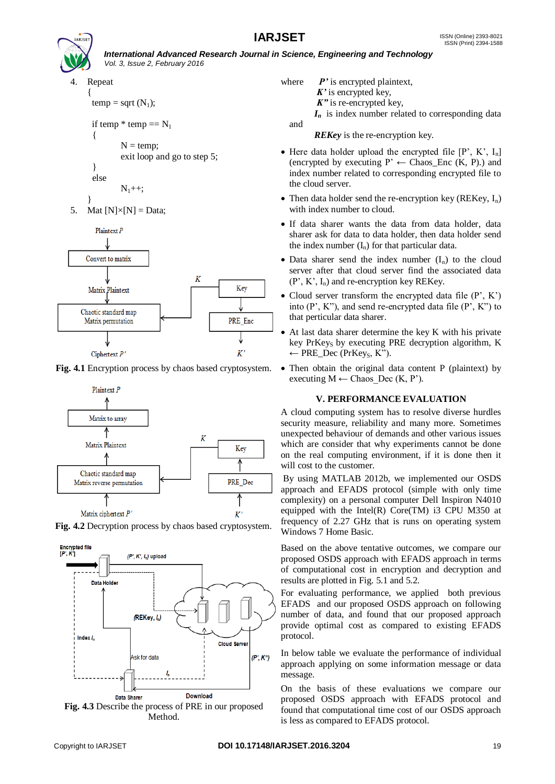

and

4. Repeat

{

}

{  $temp = sqrt(N_1);$ 

if temp  $*$  temp  $== N_1$ 

$$
N = temp;
$$

$$
exit loop and go to step 5;
$$

$$
\frac{1}{2}
$$

$$
N_1++;
$$

} 5. Mat  $[N] \times [N] = Data$ ;



**Fig. 4.1** Encryption process by chaos based cryptosystem.



**Fig. 4.2** Decryption process by chaos based cryptosystem.





where *P*' is encrypted plaintext, *K'* is encrypted key,

*K"* is re-encrypted key,

*I<sup>n</sup>* is index number related to corresponding data

*REKey* is the re-encryption key.

- Here data holder upload the encrypted file  $[P', K', I_n]$ (encrypted by executing  $P' \leftarrow Chaos\_Enc(K, P)$ .) and index number related to corresponding encrypted file to the cloud server.
- Then data holder send the re-encryption key (REKey,  $I_n$ ) with index number to cloud.
- If data sharer wants the data from data holder, data sharer ask for data to data holder, then data holder send the index number  $(I_n)$  for that particular data.
- Data sharer send the index number  $(I_n)$  to the cloud server after that cloud server find the associated data  $(P', K', I_n)$  and re-encryption key REKey.
- Cloud server transform the encrypted data file  $(P', K')$ into  $(P', K'')$ , and send re-encrypted data file  $(P', K'')$  to that perticular data sharer.
- At last data sharer determine the key K with his private key PrKeys by executing PRE decryption algorithm,  $K$ ← PRE Dec (PrKeys, K").
- Then obtain the original data content P (plaintext) by executing  $M \leftarrow$  Chaos Dec (K, P').

# **V. PERFORMANCE EVALUATION**

A cloud computing system has to resolve diverse hurdles security measure, reliability and many more. Sometimes unexpected behaviour of demands and other various issues which are consider that why experiments cannot be done on the real computing environment, if it is done then it will cost to the customer.

By using MATLAB 2012b, we implemented our OSDS approach and EFADS protocol (simple with only time complexity) on a personal computer Dell Inspiron N4010 equipped with the Intel $(R)$  Core $(TM)$  i3 CPU M350 at frequency of 2.27 GHz that is runs on operating system Windows 7 Home Basic.

Based on the above tentative outcomes, we compare our proposed OSDS approach with EFADS approach in terms of computational cost in encryption and decryption and results are plotted in Fig. 5.1 and 5.2.

For evaluating performance, we applied both previous EFADS and our proposed OSDS approach on following number of data, and found that our proposed approach provide optimal cost as compared to existing EFADS protocol.

In below table we evaluate the performance of individual approach applying on some information message or data message.

On the basis of these evaluations we compare our proposed OSDS approach with EFADS protocol and found that computational time cost of our OSDS approach is less as compared to EFADS protocol.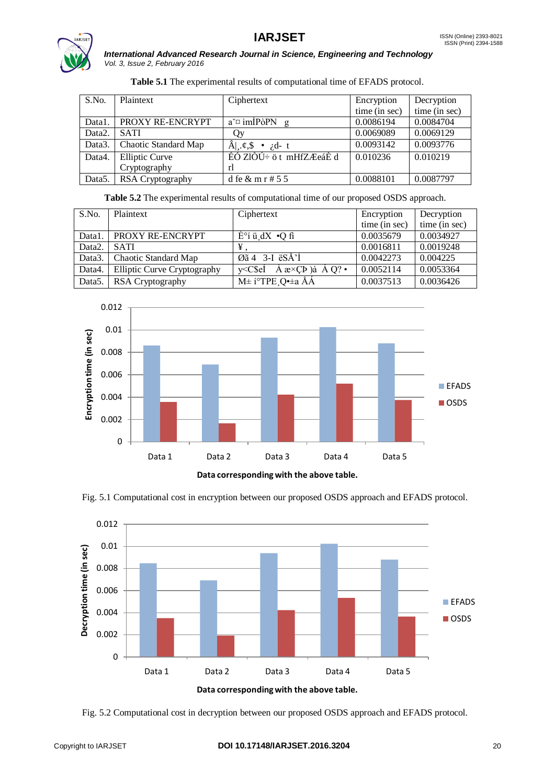



| S.No.               | Plaintext            | Ciphertext                                 | Encryption    | Decryption    |
|---------------------|----------------------|--------------------------------------------|---------------|---------------|
|                     |                      |                                            | time (in sec) | time (in sec) |
| Data1.              | PROXY RE-ENCRYPT     | $a^{\sim}$ im IP $\partial$ PN<br>g        | 0.0086194     | 0.0084704     |
| Data <sub>2</sub> . | <b>SATI</b>          | Эy                                         | 0.0069089     | 0.0069129     |
| Data3.              | Chaotic Standard Map | $\hat{A}$ , $\phi$ , $\hat{s}$<br>• $id-t$ | 0.0093142     | 0.0093776     |
| Data4.              | Elliptic Curve       | EÓ ZIÒÚ÷ ö t mHfZÆeáÈ d                    | 0.010236      | 0.010219      |
|                     | Cryptography         | rl                                         |               |               |
| Data <sub>5</sub> . | RSA Cryptography     | d fe $\&$ m r # 5 5                        | 0.0088101     | 0.0087797     |

Table 5.2 The experimental results of computational time of our proposed OSDS approach.

| S.No.               | Plaintext                   | Ciphertext                                                                                                                                                                                                                                                                                                                                                                                               | Encryption    | Decryption    |
|---------------------|-----------------------------|----------------------------------------------------------------------------------------------------------------------------------------------------------------------------------------------------------------------------------------------------------------------------------------------------------------------------------------------------------------------------------------------------------|---------------|---------------|
|                     |                             |                                                                                                                                                                                                                                                                                                                                                                                                          | time (in sec) | time (in sec) |
| Data1.              | <b>PROXY RE-ENCRYPT</b>     | $E^{\circ}$ i ü d $X$ $\bullet$ Q fi                                                                                                                                                                                                                                                                                                                                                                     | 0.0035679     | 0.0034927     |
| Data <sub>2</sub> . | <b>SATI</b>                 | ¥                                                                                                                                                                                                                                                                                                                                                                                                        | 0.0016811     | 0.0019248     |
| Data3.              | Chaotic Standard Map        | Øã 4 $3-I$ ëSÅ' <sup>1</sup>                                                                                                                                                                                                                                                                                                                                                                             | 0.0042273     | 0.004225      |
| Data4.              | Elliptic Curve Cryptography | $v < C$ \$eI<br>$\overline{A}$ $\mathbf{a} \times \overline{C}$ $\overline{D}$ $\overline{A}$ $\overline{O}$ $\overline{O}$ $\overline{O}$ $\overline{O}$ $\overline{O}$ $\overline{O}$ $\overline{O}$ $\overline{O}$ $\overline{O}$ $\overline{O}$ $\overline{O}$ $\overline{O}$ $\overline{O}$ $\overline{O}$ $\overline{O}$ $\overline{O}$ $\overline{O}$ $\overline{O}$ $\overline{O}$ $\overline{O$ | 0.0052114     | 0.0053364     |
| Data <sub>5</sub> . | RSA Cryptography            | $M\pm i^{\circ}TPE$ $Q\rightarrow \alpha A\AA$                                                                                                                                                                                                                                                                                                                                                           | 0.0037513     | 0.0036426     |



Fig. 5.1 Computational cost in encryption between our proposed OSDS approach and EFADS protocol.



Fig. 5.2 Computational cost in decryption between our proposed OSDS approach and EFADS protocol.